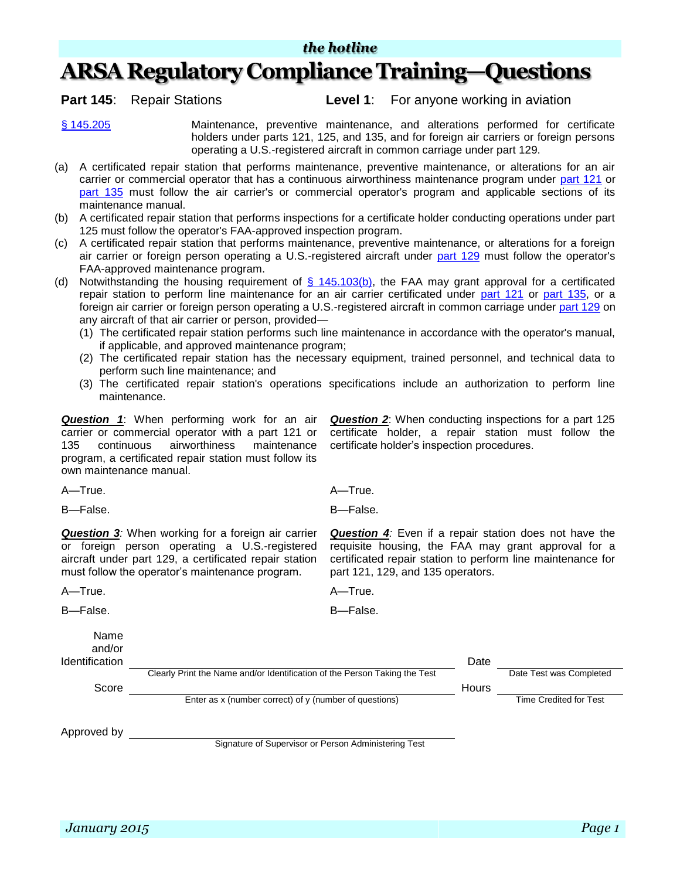## **ARSA Regulatory Compliance Training—Questions**

**Part 145**: Repair Stations **Level 1**: For anyone working in aviation

[§ 145.205](http://www.ecfr.gov/cgi-bin/text-idx?SID=d044629fcc9aa87e3c1d0229ad995dfb&node=se14.3.145_1205&rgn=div8) Maintenance, preventive maintenance, and alterations performed for certificate holders under parts 121, 125, and 135, and for foreign air carriers or foreign persons operating a U.S.-registered aircraft in common carriage under part 129.

- (a) A certificated repair station that performs maintenance, preventive maintenance, or alterations for an air carrier or commercial operator that has a continuous airworthiness maintenance program under [part 121](http://www.ecfr.gov/cgi-bin/text-idx?SID=d1e291243c674d470f3483aa1c029d2a&tpl=/ecfrbrowse/Title14/14cfr121_main_02.tpl) or [part 135](http://www.ecfr.gov/cgi-bin/text-idx?SID=d1e291243c674d470f3483aa1c029d2a&tpl=/ecfrbrowse/Title14/14cfr135_main_02.tpl) must follow the air carrier's or commercial operator's program and applicable sections of its maintenance manual.
- (b) A certificated repair station that performs inspections for a certificate holder conducting operations under part 125 must follow the operator's FAA-approved inspection program.
- (c) A certificated repair station that performs maintenance, preventive maintenance, or alterations for a foreign air carrier or foreign person operating a U.S.-registered aircraft under [part 129](http://www.ecfr.gov/cgi-bin/text-idx?SID=d1e291243c674d470f3483aa1c029d2a&node=pt14.3.129&rgn=div5) must follow the operator's FAA-approved maintenance program.
- (d) Notwithstanding the housing requirement of  $\frac{6}{9}$  145.103(b), the FAA may grant approval for a certificated repair station to perform line maintenance for an air carrier certificated under [part 121](http://www.ecfr.gov/cgi-bin/text-idx?SID=d1e291243c674d470f3483aa1c029d2a&tpl=/ecfrbrowse/Title14/14cfr121_main_02.tpl) or [part 135,](http://www.ecfr.gov/cgi-bin/text-idx?SID=d1e291243c674d470f3483aa1c029d2a&tpl=/ecfrbrowse/Title14/14cfr135_main_02.tpl) or a foreign air carrier or foreign person operating a U.S.-registered aircraft in common carriage under [part 129](http://www.ecfr.gov/cgi-bin/text-idx?SID=d1e291243c674d470f3483aa1c029d2a&node=pt14.3.129&rgn=div5) on any aircraft of that air carrier or person, provided—
	- (1) The certificated repair station performs such line maintenance in accordance with the operator's manual, if applicable, and approved maintenance program;
	- (2) The certificated repair station has the necessary equipment, trained personnel, and technical data to perform such line maintenance; and
	- (3) The certificated repair station's operations specifications include an authorization to perform line maintenance.

*Question 1*: When performing work for an air carrier or commercial operator with a part 121 or 135 continuous airworthiness maintenance program, a certificated repair station must follow its own maintenance manual.

*Question 2*: When conducting inspections for a part 125 certificate holder, a repair station must follow the certificate holder's inspection procedures.

A—True. A—True.

B—False. B—False.

*Question 3:* When working for a foreign air carrier or foreign person operating a U.S.-registered aircraft under part 129, a certificated repair station must follow the operator's maintenance program.

*Question 4:* Even if a repair station does not have the requisite housing, the FAA may grant approval for a certificated repair station to perform line maintenance for part 121, 129, and 135 operators.

A—True. A—True.

B—False. B—False.

Name and/or

| <b>Identification</b> |                                                                            | Date  |                         |
|-----------------------|----------------------------------------------------------------------------|-------|-------------------------|
|                       | Clearly Print the Name and/or Identification of the Person Taking the Test |       | Date Test was Completed |
| Score                 |                                                                            | Hours |                         |
|                       | Enter as x (number correct) of y (number of questions)                     |       | Time Credited for Test  |
| Approved by           |                                                                            |       |                         |
|                       | Signature of Supervisor or Person Administering Test                       |       |                         |